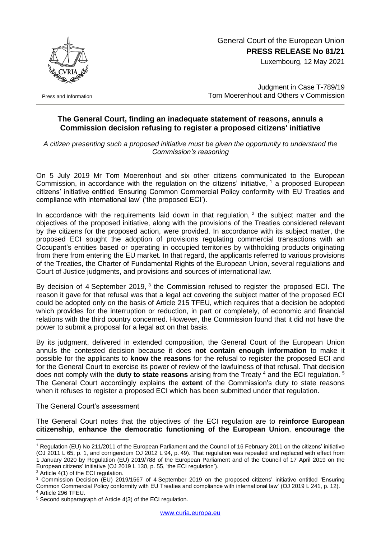General Court of the European Union **PRESS RELEASE No 81/21**

Luxembourg, 12 May 2021



Press and Information

Judgment in Case T-789/19 Tom Moerenhout and Others v Commission

## **The General Court, finding an inadequate statement of reasons, annuls a Commission decision refusing to register a proposed citizens' initiative**

*A citizen presenting such a proposed initiative must be given the opportunity to understand the Commission's reasoning*

On 5 July 2019 Mr Tom Moerenhout and six other citizens communicated to the European Commission, in accordance with the regulation on the citizens' initiative, <sup>1</sup> a proposed European citizens' initiative entitled 'Ensuring Common Commercial Policy conformity with EU Treaties and compliance with international law' ('the proposed ECI').

In accordance with the requirements laid down in that regulation,  $2$  the subject matter and the objectives of the proposed initiative, along with the provisions of the Treaties considered relevant by the citizens for the proposed action, were provided. In accordance with its subject matter, the proposed ECI sought the adoption of provisions regulating commercial transactions with an Occupant's entities based or operating in occupied territories by withholding products originating from there from entering the EU market. In that regard, the applicants referred to various provisions of the Treaties, the Charter of Fundamental Rights of the European Union, several regulations and Court of Justice judgments, and provisions and sources of international law.

By decision of 4 September 2019, <sup>3</sup> the Commission refused to register the proposed ECI. The reason it gave for that refusal was that a legal act covering the subject matter of the proposed ECI could be adopted only on the basis of Article 215 TFEU, which requires that a decision be adopted which provides for the interruption or reduction, in part or completely, of economic and financial relations with the third country concerned. However, the Commission found that it did not have the power to submit a proposal for a legal act on that basis.

By its judgment, delivered in extended composition, the General Court of the European Union annuls the contested decision because it does **not contain enough information** to make it possible for the applicants to **know the reasons** for the refusal to register the proposed ECI and for the General Court to exercise its power of review of the lawfulness of that refusal. That decision does not comply with the **duty to state reasons** arising from the Treaty <sup>4</sup> and the ECI regulation. <sup>5</sup> The General Court accordingly explains the **extent** of the Commission's duty to state reasons when it refuses to register a proposed ECI which has been submitted under that regulation.

## The General Court's assessment

The General Court notes that the objectives of the ECI regulation are to **reinforce European citizenship**, **enhance the democratic functioning of the European Union**, **encourage the** 

1

<sup>1</sup> Regulation (EU) No 211/2011 of the European Parliament and the Council of 16 February 2011 on the citizens' initiative (OJ 2011 L 65, p. 1, and corrigendum OJ 2012 L 94, p. 49). That regulation was repealed and replaced with effect from 1 January 2020 by Regulation (EU) 2019/788 of the European Parliament and of the Council of 17 April 2019 on the European citizens' initiative (OJ 2019 L 130, p. 55, 'the ECI regulation').

<sup>2</sup> Article 4(1) of the ECI regulation.

<sup>3</sup> Commission Decision (EU) 2019/1567 of 4 September 2019 on the proposed citizens' initiative entitled 'Ensuring Common Commercial Policy conformity with EU Treaties and compliance with international law' (OJ 2019 L 241, p. 12). <sup>4</sup> Article 296 TFEU.

<sup>5</sup> Second subparagraph of Article 4(3) of the ECI regulation.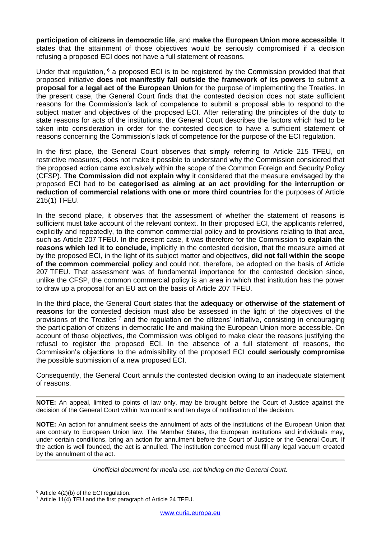**participation of citizens in democratic life**, and **make the European Union more accessible**. It states that the attainment of those objectives would be seriously compromised if a decision refusing a proposed ECI does not have a full statement of reasons.

Under that regulation, <sup>6</sup> a proposed ECI is to be registered by the Commission provided that that proposed initiative **does not manifestly fall outside the framework of its powers** to submit **a proposal for a legal act of the European Union** for the purpose of implementing the Treaties. In the present case, the General Court finds that the contested decision does not state sufficient reasons for the Commission's lack of competence to submit a proposal able to respond to the subject matter and objectives of the proposed ECI. After reiterating the principles of the duty to state reasons for acts of the institutions, the General Court describes the factors which had to be taken into consideration in order for the contested decision to have a sufficient statement of reasons concerning the Commission's lack of competence for the purpose of the ECI regulation.

In the first place, the General Court observes that simply referring to Article 215 TFEU, on restrictive measures, does not make it possible to understand why the Commission considered that the proposed action came exclusively within the scope of the Common Foreign and Security Policy (CFSP). **The Commission did not explain why** it considered that the measure envisaged by the proposed ECI had to be **categorised as aiming at an act providing for the interruption or reduction of commercial relations with one or more third countries** for the purposes of Article 215(1) TFEU.

In the second place, it observes that the assessment of whether the statement of reasons is sufficient must take account of the relevant context. In their proposed ECI, the applicants referred, explicitly and repeatedly, to the common commercial policy and to provisions relating to that area, such as Article 207 TFEU. In the present case, it was therefore for the Commission to **explain the reasons which led it to conclude**, implicitly in the contested decision, that the measure aimed at by the proposed ECI, in the light of its subject matter and objectives, **did not fall within the scope of the common commercial policy** and could not, therefore, be adopted on the basis of Article 207 TFEU. That assessment was of fundamental importance for the contested decision since, unlike the CFSP, the common commercial policy is an area in which that institution has the power to draw up a proposal for an EU act on the basis of Article 207 TFEU.

In the third place, the General Court states that the **adequacy or otherwise of the statement of reasons** for the contested decision must also be assessed in the light of the objectives of the provisions of the Treaties <sup>7</sup> and the regulation on the citizens' initiative, consisting in encouraging the participation of citizens in democratic life and making the European Union more accessible. On account of those objectives, the Commission was obliged to make clear the reasons justifying the refusal to register the proposed ECI. In the absence of a full statement of reasons, the Commission's objections to the admissibility of the proposed ECI **could seriously compromise**  the possible submission of a new proposed ECI.

Consequently, the General Court annuls the contested decision owing to an inadequate statement of reasons.

**NOTE:** An appeal, limited to points of law only, may be brought before the Court of Justice against the decision of the General Court within two months and ten days of notification of the decision.

**NOTE:** An action for annulment seeks the annulment of acts of the institutions of the European Union that are contrary to European Union law. The Member States, the European institutions and individuals may, under certain conditions, bring an action for annulment before the Court of Justice or the General Court. If the action is well founded, the act is annulled. The institution concerned must fill any legal vacuum created by the annulment of the act.

*Unofficial document for media use, not binding on the General Court.*

<sup>1</sup> <sup>6</sup> Article 4(2)(b) of the ECI regulation.

<sup>7</sup> Article 11(4) TEU and the first paragraph of Article 24 TFEU.